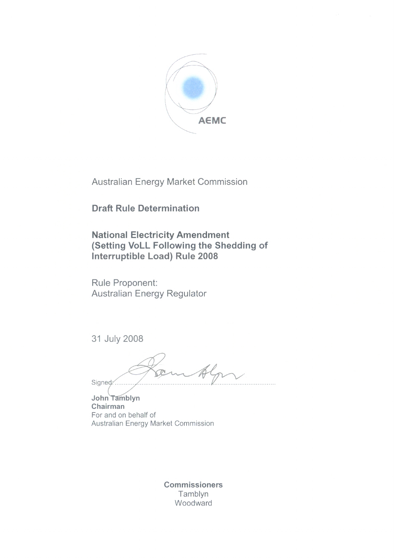

**Australian Energy Market Commission** 

# **Draft Rule Determination**

### **National Electricity Amendment** (Setting VoLL Following the Shedding of Interruptible Load) Rule 2008

Rule Proponent: **Australian Energy Regulator** 

31 July 2008

Signed:

John Tamblyn Chairman For and on behalf of Australian Energy Market Commission

> **Commissioners** Tamblyn Woodward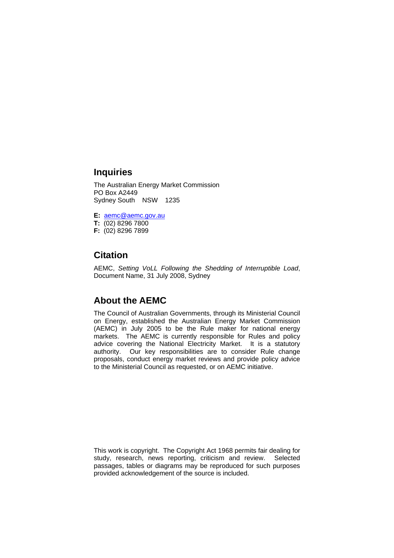### **Inquiries**

The Australian Energy Market Commission PO Box A2449 Sydney South NSW 1235

**E:** aemc@aemc.gov.au **T:** (02) 8296 7800

**F:** (02) 8296 7899

## **Citation**

AEMC, *Setting VoLL Following the Shedding of Interruptible Load*, Document Name, 31 July 2008, Sydney

## **About the AEMC**

The Council of Australian Governments, through its Ministerial Council on Energy, established the Australian Energy Market Commission (AEMC) in July 2005 to be the Rule maker for national energy markets. The AEMC is currently responsible for Rules and policy advice covering the National Electricity Market. It is a statutory authority. Our key responsibilities are to consider Rule change proposals, conduct energy market reviews and provide policy advice to the Ministerial Council as requested, or on AEMC initiative.

This work is copyright. The Copyright Act 1968 permits fair dealing for study, research, news reporting, criticism and review. Selected passages, tables or diagrams may be reproduced for such purposes provided acknowledgement of the source is included.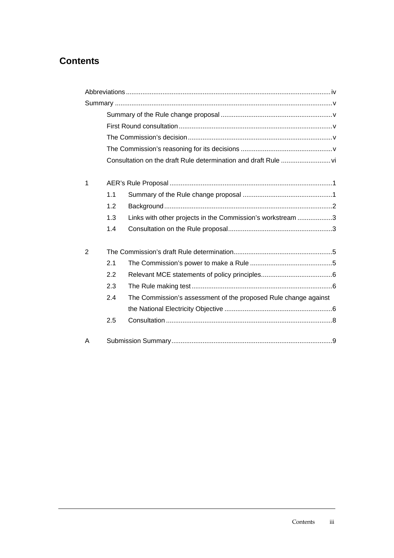# **Contents**

| 1 |     |                                                                 |  |  |  |
|---|-----|-----------------------------------------------------------------|--|--|--|
|   | 1.1 |                                                                 |  |  |  |
|   | 1.2 |                                                                 |  |  |  |
|   | 1.3 | Links with other projects in the Commission's workstream 3      |  |  |  |
|   | 1.4 |                                                                 |  |  |  |
| 2 |     |                                                                 |  |  |  |
|   | 2.1 |                                                                 |  |  |  |
|   | 2.2 |                                                                 |  |  |  |
|   | 2.3 |                                                                 |  |  |  |
|   | 2.4 | The Commission's assessment of the proposed Rule change against |  |  |  |
|   |     |                                                                 |  |  |  |
|   | 2.5 |                                                                 |  |  |  |
| A |     |                                                                 |  |  |  |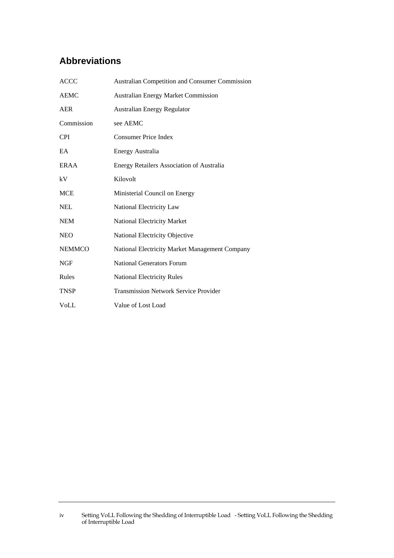# **Abbreviations**

| <b>ACCC</b>           | Australian Competition and Consumer Commission   |
|-----------------------|--------------------------------------------------|
| <b>AEMC</b>           | <b>Australian Energy Market Commission</b>       |
| AER                   | <b>Australian Energy Regulator</b>               |
| Commission            | see AEMC                                         |
| <b>CPI</b>            | <b>Consumer Price Index</b>                      |
| EA                    | Energy Australia                                 |
| ERAA                  | <b>Energy Retailers Association of Australia</b> |
| kV                    | Kilovolt                                         |
| <b>MCE</b>            | Ministerial Council on Energy                    |
| <b>NEL</b>            | National Electricity Law                         |
| <b>NEM</b>            | <b>National Electricity Market</b>               |
| <b>NEO</b>            | National Electricity Objective                   |
| <b>NEMMCO</b>         | National Electricity Market Management Company   |
| <b>NGF</b>            | <b>National Generators Forum</b>                 |
| Rules                 | <b>National Electricity Rules</b>                |
| <b>TNSP</b>           | <b>Transmission Network Service Provider</b>     |
| $\operatorname{VolL}$ | Value of Lost Load                               |

iv Setting VoLL Following the Shedding of Interruptible Load - Setting VoLL Following the Shedding of Interruptible Load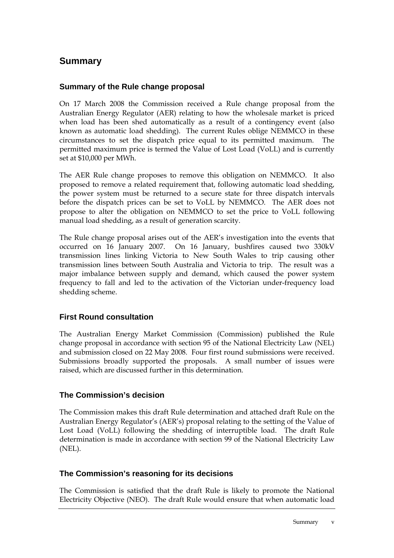# **Summary**

### **Summary of the Rule change proposal**

On 17 March 2008 the Commission received a Rule change proposal from the Australian Energy Regulator (AER) relating to how the wholesale market is priced when load has been shed automatically as a result of a contingency event (also known as automatic load shedding). The current Rules oblige NEMMCO in these circumstances to set the dispatch price equal to its permitted maximum. The permitted maximum price is termed the Value of Lost Load (VoLL) and is currently set at \$10,000 per MWh.

The AER Rule change proposes to remove this obligation on NEMMCO. It also proposed to remove a related requirement that, following automatic load shedding, the power system must be returned to a secure state for three dispatch intervals before the dispatch prices can be set to VoLL by NEMMCO. The AER does not propose to alter the obligation on NEMMCO to set the price to VoLL following manual load shedding, as a result of generation scarcity.

The Rule change proposal arises out of the AER's investigation into the events that occurred on 16 January 2007. On 16 January, bushfires caused two 330kV transmission lines linking Victoria to New South Wales to trip causing other transmission lines between South Australia and Victoria to trip. The result was a major imbalance between supply and demand, which caused the power system frequency to fall and led to the activation of the Victorian under-frequency load shedding scheme.

### **First Round consultation**

The Australian Energy Market Commission (Commission) published the Rule change proposal in accordance with section 95 of the National Electricity Law (NEL) and submission closed on 22 May 2008. Four first round submissions were received. Submissions broadly supported the proposals. A small number of issues were raised, which are discussed further in this determination.

### **The Commission's decision**

The Commission makes this draft Rule determination and attached draft Rule on the Australian Energy Regulator's (AER's) proposal relating to the setting of the Value of Lost Load (VoLL) following the shedding of interruptible load. The draft Rule determination is made in accordance with section 99 of the National Electricity Law (NEL).

#### **The Commission's reasoning for its decisions**

The Commission is satisfied that the draft Rule is likely to promote the National Electricity Objective (NEO). The draft Rule would ensure that when automatic load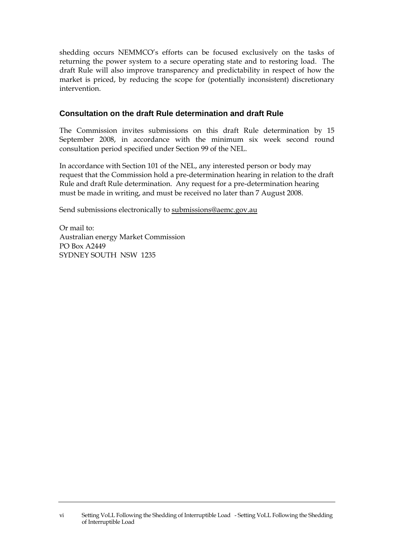shedding occurs NEMMCO's efforts can be focused exclusively on the tasks of returning the power system to a secure operating state and to restoring load. The draft Rule will also improve transparency and predictability in respect of how the market is priced, by reducing the scope for (potentially inconsistent) discretionary intervention.

#### **Consultation on the draft Rule determination and draft Rule**

The Commission invites submissions on this draft Rule determination by 15 September 2008, in accordance with the minimum six week second round consultation period specified under Section 99 of the NEL.

In accordance with Section 101 of the NEL, any interested person or body may request that the Commission hold a pre-determination hearing in relation to the draft Rule and draft Rule determination. Any request for a pre-determination hearing must be made in writing, and must be received no later than 7 August 2008.

Send submissions electronically to submissions@aemc.gov.au

Or mail to: Australian energy Market Commission PO Box A2449 SYDNEY SOUTH NSW 1235

vi Setting VoLL Following the Shedding of Interruptible Load - Setting VoLL Following the Shedding of Interruptible Load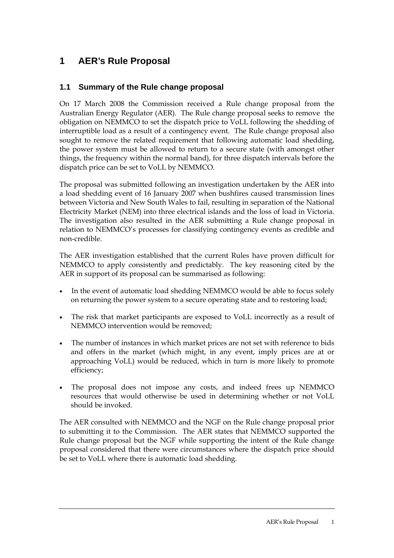# **1 AER's Rule Proposal**

### **1.1 Summary of the Rule change proposal**

On 17 March 2008 the Commission received a Rule change proposal from the Australian Energy Regulator (AER). The Rule change proposal seeks to remove the obligation on NEMMCO to set the dispatch price to VoLL following the shedding of interruptible load as a result of a contingency event. The Rule change proposal also sought to remove the related requirement that following automatic load shedding, the power system must be allowed to return to a secure state (with amongst other things, the frequency within the normal band), for three dispatch intervals before the dispatch price can be set to VoLL by NEMMCO.

The proposal was submitted following an investigation undertaken by the AER into a load shedding event of 16 January 2007 when bushfires caused transmission lines between Victoria and New South Wales to fail, resulting in separation of the National Electricity Market (NEM) into three electrical islands and the loss of load in Victoria. The investigation also resulted in the AER submitting a Rule change proposal in relation to NEMMCO's processes for classifying contingency events as credible and non-credible.

The AER investigation established that the current Rules have proven difficult for NEMMCO to apply consistently and predictably. The key reasoning cited by the AER in support of its proposal can be summarised as following:

- In the event of automatic load shedding NEMMCO would be able to focus solely on returning the power system to a secure operating state and to restoring load;
- The risk that market participants are exposed to VoLL incorrectly as a result of NEMMCO intervention would be removed;
- The number of instances in which market prices are not set with reference to bids and offers in the market (which might, in any event, imply prices are at or approaching VoLL) would be reduced, which in turn is more likely to promote efficiency;
- The proposal does not impose any costs, and indeed frees up NEMMCO resources that would otherwise be used in determining whether or not VoLL should be invoked.

The AER consulted with NEMMCO and the NGF on the Rule change proposal prior to submitting it to the Commission. The AER states that NEMMCO supported the Rule change proposal but the NGF while supporting the intent of the Rule change proposal considered that there were circumstances where the dispatch price should be set to VoLL where there is automatic load shedding.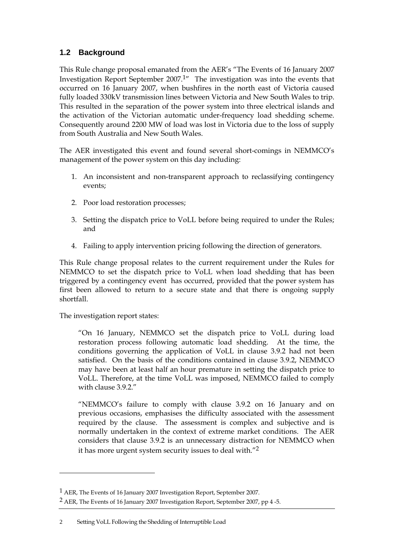### **1.2 Background**

This Rule change proposal emanated from the AER's "The Events of 16 January 2007 Investigation Report September 2007.1" The investigation was into the events that occurred on 16 January 2007, when bushfires in the north east of Victoria caused fully loaded 330kV transmission lines between Victoria and New South Wales to trip. This resulted in the separation of the power system into three electrical islands and the activation of the Victorian automatic under-frequency load shedding scheme. Consequently around 2200 MW of load was lost in Victoria due to the loss of supply from South Australia and New South Wales.

The AER investigated this event and found several short-comings in NEMMCO's management of the power system on this day including:

- 1. An inconsistent and non-transparent approach to reclassifying contingency events;
- 2. Poor load restoration processes;
- 3. Setting the dispatch price to VoLL before being required to under the Rules; and
- 4. Failing to apply intervention pricing following the direction of generators.

This Rule change proposal relates to the current requirement under the Rules for NEMMCO to set the dispatch price to VoLL when load shedding that has been triggered by a contingency event has occurred, provided that the power system has first been allowed to return to a secure state and that there is ongoing supply shortfall.

The investigation report states:

 $\overline{a}$ 

 "On 16 January, NEMMCO set the dispatch price to VoLL during load restoration process following automatic load shedding. At the time, the conditions governing the application of VoLL in clause 3.9.2 had not been satisfied. On the basis of the conditions contained in clause 3.9.2, NEMMCO may have been at least half an hour premature in setting the dispatch price to VoLL. Therefore, at the time VoLL was imposed, NEMMCO failed to comply with clause 3.9.2."

 "NEMMCO's failure to comply with clause 3.9.2 on 16 January and on previous occasions, emphasises the difficulty associated with the assessment required by the clause. The assessment is complex and subjective and is normally undertaken in the context of extreme market conditions. The AER considers that clause 3.9.2 is an unnecessary distraction for NEMMCO when it has more urgent system security issues to deal with."2

<sup>1</sup> AER, The Events of 16 January 2007 Investigation Report, September 2007.

<sup>2</sup> AER, The Events of 16 January 2007 Investigation Report, September 2007, pp 4 -5.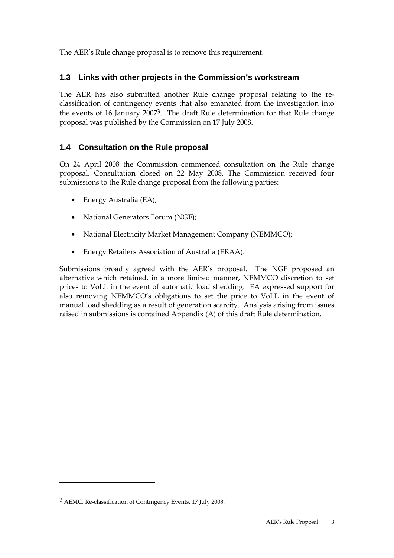The AER's Rule change proposal is to remove this requirement.

### **1.3 Links with other projects in the Commission's workstream**

The AER has also submitted another Rule change proposal relating to the reclassification of contingency events that also emanated from the investigation into the events of 16 January 20073. The draft Rule determination for that Rule change proposal was published by the Commission on 17 July 2008.

### **1.4 Consultation on the Rule proposal**

On 24 April 2008 the Commission commenced consultation on the Rule change proposal. Consultation closed on 22 May 2008. The Commission received four submissions to the Rule change proposal from the following parties:

- Energy Australia (EA);
- National Generators Forum (NGF);
- National Electricity Market Management Company (NEMMCO);
- Energy Retailers Association of Australia (ERAA).

Submissions broadly agreed with the AER's proposal. The NGF proposed an alternative which retained, in a more limited manner, NEMMCO discretion to set prices to VoLL in the event of automatic load shedding. EA expressed support for also removing NEMMCO's obligations to set the price to VoLL in the event of manual load shedding as a result of generation scarcity. Analysis arising from issues raised in submissions is contained Appendix (A) of this draft Rule determination.

 $\overline{a}$ 

<sup>3</sup> AEMC, Re-classification of Contingency Events, 17 July 2008.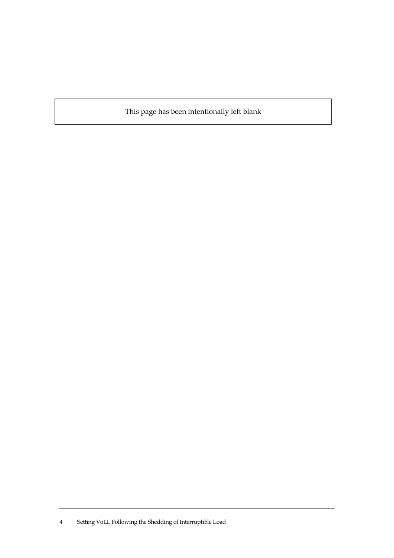This page has been intentionally left blank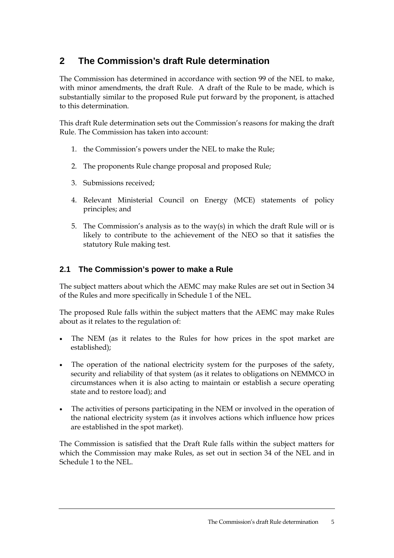# **2 The Commission's draft Rule determination**

The Commission has determined in accordance with section 99 of the NEL to make, with minor amendments, the draft Rule. A draft of the Rule to be made, which is substantially similar to the proposed Rule put forward by the proponent, is attached to this determination.

This draft Rule determination sets out the Commission's reasons for making the draft Rule. The Commission has taken into account:

- 1. the Commission's powers under the NEL to make the Rule;
- 2. The proponents Rule change proposal and proposed Rule;
- 3. Submissions received;
- 4. Relevant Ministerial Council on Energy (MCE) statements of policy principles; and
- 5. The Commission's analysis as to the way(s) in which the draft Rule will or is likely to contribute to the achievement of the NEO so that it satisfies the statutory Rule making test.

### **2.1 The Commission's power to make a Rule**

The subject matters about which the AEMC may make Rules are set out in Section 34 of the Rules and more specifically in Schedule 1 of the NEL.

The proposed Rule falls within the subject matters that the AEMC may make Rules about as it relates to the regulation of:

- The NEM (as it relates to the Rules for how prices in the spot market are established);
- The operation of the national electricity system for the purposes of the safety, security and reliability of that system (as it relates to obligations on NEMMCO in circumstances when it is also acting to maintain or establish a secure operating state and to restore load); and
- The activities of persons participating in the NEM or involved in the operation of the national electricity system (as it involves actions which influence how prices are established in the spot market).

The Commission is satisfied that the Draft Rule falls within the subject matters for which the Commission may make Rules, as set out in section 34 of the NEL and in Schedule 1 to the NEL.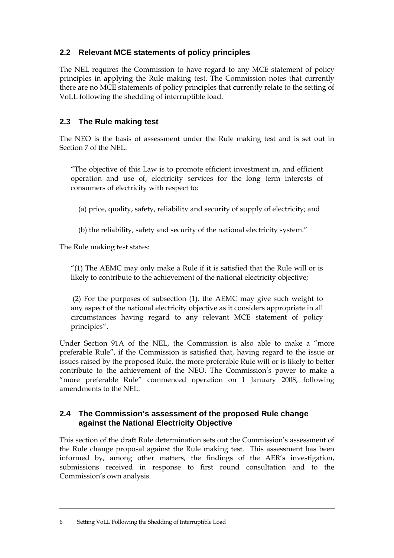### **2.2 Relevant MCE statements of policy principles**

The NEL requires the Commission to have regard to any MCE statement of policy principles in applying the Rule making test. The Commission notes that currently there are no MCE statements of policy principles that currently relate to the setting of VoLL following the shedding of interruptible load.

### **2.3 The Rule making test**

The NEO is the basis of assessment under the Rule making test and is set out in Section 7 of the NEL:

"The objective of this Law is to promote efficient investment in, and efficient operation and use of, electricity services for the long term interests of consumers of electricity with respect to:

- (a) price, quality, safety, reliability and security of supply of electricity; and
- (b) the reliability, safety and security of the national electricity system."

The Rule making test states:

"(1) The AEMC may only make a Rule if it is satisfied that the Rule will or is likely to contribute to the achievement of the national electricity objective;

 (2) For the purposes of subsection (1), the AEMC may give such weight to any aspect of the national electricity objective as it considers appropriate in all circumstances having regard to any relevant MCE statement of policy principles".

Under Section 91A of the NEL, the Commission is also able to make a "more preferable Rule", if the Commission is satisfied that, having regard to the issue or issues raised by the proposed Rule, the more preferable Rule will or is likely to better contribute to the achievement of the NEO. The Commission's power to make a "more preferable Rule" commenced operation on 1 January 2008, following amendments to the NEL.

### **2.4 The Commission's assessment of the proposed Rule change against the National Electricity Objective**

This section of the draft Rule determination sets out the Commission's assessment of the Rule change proposal against the Rule making test. This assessment has been informed by, among other matters, the findings of the AER's investigation, submissions received in response to first round consultation and to the Commission's own analysis.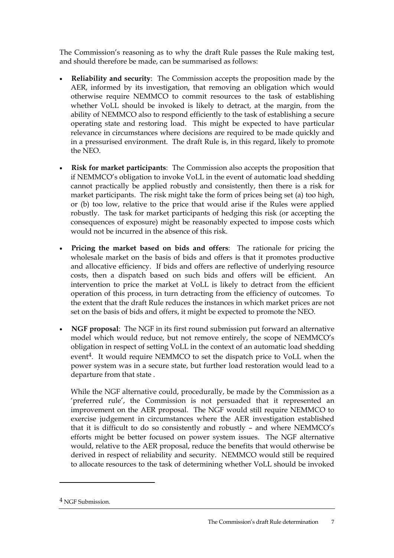The Commission's reasoning as to why the draft Rule passes the Rule making test, and should therefore be made, can be summarised as follows:

- **Reliability and security**: The Commission accepts the proposition made by the AER, informed by its investigation, that removing an obligation which would otherwise require NEMMCO to commit resources to the task of establishing whether VoLL should be invoked is likely to detract, at the margin, from the ability of NEMMCO also to respond efficiently to the task of establishing a secure operating state and restoring load. This might be expected to have particular relevance in circumstances where decisions are required to be made quickly and in a pressurised environment. The draft Rule is, in this regard, likely to promote the NEO.
- **Risk for market participants**: The Commission also accepts the proposition that if NEMMCO's obligation to invoke VoLL in the event of automatic load shedding cannot practically be applied robustly and consistently, then there is a risk for market participants. The risk might take the form of prices being set (a) too high, or (b) too low, relative to the price that would arise if the Rules were applied robustly. The task for market participants of hedging this risk (or accepting the consequences of exposure) might be reasonably expected to impose costs which would not be incurred in the absence of this risk.
- **Pricing the market based on bids and offers**: The rationale for pricing the wholesale market on the basis of bids and offers is that it promotes productive and allocative efficiency. If bids and offers are reflective of underlying resource costs, then a dispatch based on such bids and offers will be efficient. An intervention to price the market at VoLL is likely to detract from the efficient operation of this process, in turn detracting from the efficiency of outcomes. To the extent that the draft Rule reduces the instances in which market prices are not set on the basis of bids and offers, it might be expected to promote the NEO.
- **NGF proposal**: The NGF in its first round submission put forward an alternative model which would reduce, but not remove entirely, the scope of NEMMCO's obligation in respect of setting VoLL in the context of an automatic load shedding event<sup>4</sup>. It would require NEMMCO to set the dispatch price to VoLL when the power system was in a secure state, but further load restoration would lead to a departure from that state .

While the NGF alternative could, procedurally, be made by the Commission as a 'preferred rule', the Commission is not persuaded that it represented an improvement on the AER proposal. The NGF would still require NEMMCO to exercise judgement in circumstances where the AER investigation established that it is difficult to do so consistently and robustly – and where NEMMCO's efforts might be better focused on power system issues. The NGF alternative would, relative to the AER proposal, reduce the benefits that would otherwise be derived in respect of reliability and security. NEMMCO would still be required to allocate resources to the task of determining whether VoLL should be invoked

 $\overline{a}$ 

<sup>4</sup> NGF Submission.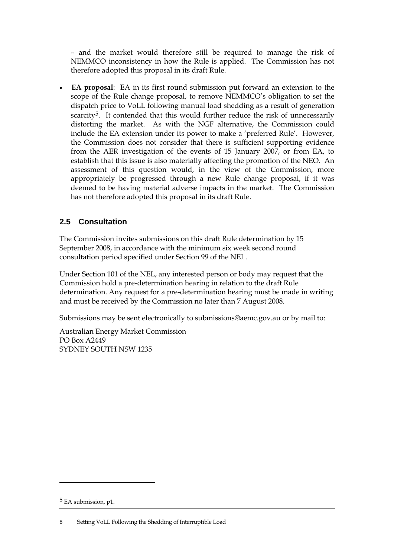– and the market would therefore still be required to manage the risk of NEMMCO inconsistency in how the Rule is applied. The Commission has not therefore adopted this proposal in its draft Rule.

• **EA proposal**: EA in its first round submission put forward an extension to the scope of the Rule change proposal, to remove NEMMCO's obligation to set the dispatch price to VoLL following manual load shedding as a result of generation scarcity<sup>5</sup>. It contended that this would further reduce the risk of unnecessarily distorting the market. As with the NGF alternative, the Commission could include the EA extension under its power to make a 'preferred Rule'. However, the Commission does not consider that there is sufficient supporting evidence from the AER investigation of the events of 15 January 2007, or from EA, to establish that this issue is also materially affecting the promotion of the NEO. An assessment of this question would, in the view of the Commission, more appropriately be progressed through a new Rule change proposal, if it was deemed to be having material adverse impacts in the market. The Commission has not therefore adopted this proposal in its draft Rule.

### **2.5 Consultation**

The Commission invites submissions on this draft Rule determination by 15 September 2008, in accordance with the minimum six week second round consultation period specified under Section 99 of the NEL.

Under Section 101 of the NEL, any interested person or body may request that the Commission hold a pre-determination hearing in relation to the draft Rule determination. Any request for a pre-determination hearing must be made in writing and must be received by the Commission no later than 7 August 2008.

Submissions may be sent electronically to submissions@aemc.gov.au or by mail to:

Australian Energy Market Commission PO Box A2449 SYDNEY SOUTH NSW 1235

 $\overline{a}$ 

<sup>5</sup> EA submission, p1.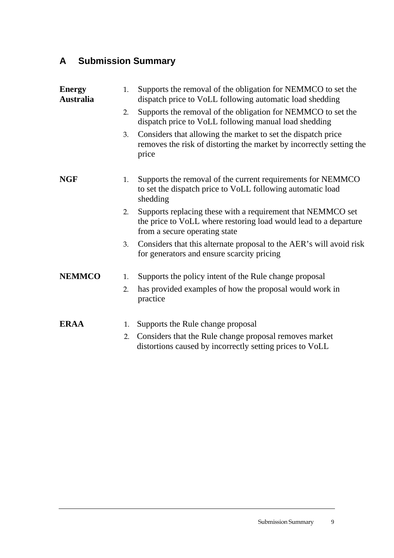# **A Submission Summary**

| <b>Energy</b><br><b>Australia</b> | 1. | Supports the removal of the obligation for NEMMCO to set the<br>dispatch price to VoLL following automatic load shedding                                         |
|-----------------------------------|----|------------------------------------------------------------------------------------------------------------------------------------------------------------------|
|                                   | 2. | Supports the removal of the obligation for NEMMCO to set the<br>dispatch price to VoLL following manual load shedding                                            |
|                                   | 3. | Considers that allowing the market to set the dispatch price<br>removes the risk of distorting the market by incorrectly setting the<br>price                    |
| <b>NGF</b>                        | 1. | Supports the removal of the current requirements for NEMMCO<br>to set the dispatch price to VoLL following automatic load<br>shedding                            |
|                                   | 2. | Supports replacing these with a requirement that NEMMCO set<br>the price to VoLL where restoring load would lead to a departure<br>from a secure operating state |
|                                   | 3. | Considers that this alternate proposal to the AER's will avoid risk<br>for generators and ensure scarcity pricing                                                |
| <b>NEMMCO</b>                     | 1. | Supports the policy intent of the Rule change proposal                                                                                                           |
|                                   | 2. | has provided examples of how the proposal would work in<br>practice                                                                                              |
| <b>ERAA</b>                       | 1. | Supports the Rule change proposal                                                                                                                                |
|                                   | 2. | Considers that the Rule change proposal removes market<br>distortions caused by incorrectly setting prices to VoLL                                               |